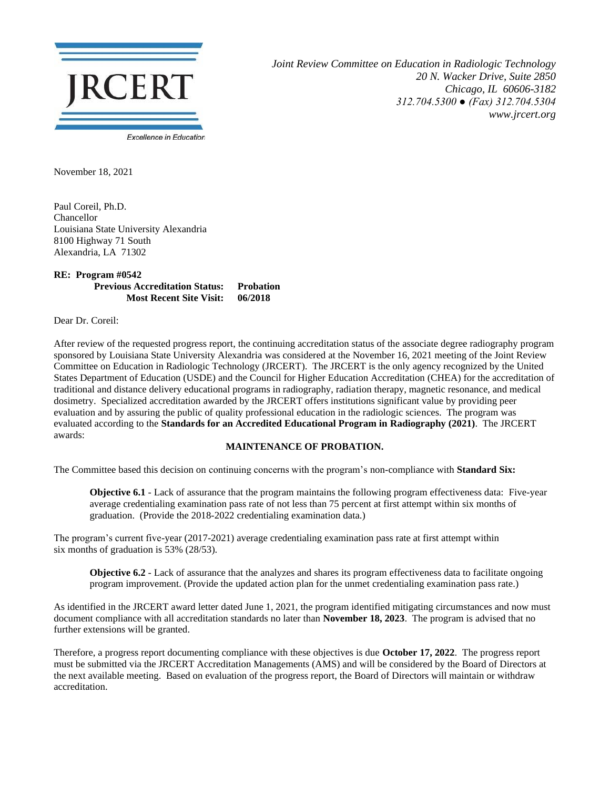

*Joint Review Committee on Education in Radiologic Technology 20 N. Wacker Drive, Suite 2850 Chicago, IL 60606-3182 312.704.5300 ● (Fax) 312.704.5304 www.jrcert.org*

November 18, 2021

Paul Coreil, Ph.D. Chancellor Louisiana State University Alexandria 8100 Highway 71 South Alexandria, LA 71302

## **RE: Program #0542 Previous Accreditation Status: Probation Most Recent Site Visit: 06/2018**

Dear Dr. Coreil:

After review of the requested progress report, the continuing accreditation status of the associate degree radiography program sponsored by Louisiana State University Alexandria was considered at the November 16, 2021 meeting of the Joint Review Committee on Education in Radiologic Technology (JRCERT). The JRCERT is the only agency recognized by the United States Department of Education (USDE) and the Council for Higher Education Accreditation (CHEA) for the accreditation of traditional and distance delivery educational programs in radiography, radiation therapy, magnetic resonance, and medical dosimetry. Specialized accreditation awarded by the JRCERT offers institutions significant value by providing peer evaluation and by assuring the public of quality professional education in the radiologic sciences. The program was evaluated according to the **Standards for an Accredited Educational Program in Radiography (2021)**. The JRCERT awards:

## **MAINTENANCE OF PROBATION.**

The Committee based this decision on continuing concerns with the program's non-compliance with **Standard Six:**

**Objective 6.1** - Lack of assurance that the program maintains the following program effectiveness data: Five-year average credentialing examination pass rate of not less than 75 percent at first attempt within six months of graduation. (Provide the 2018-2022 credentialing examination data.)

The program's current five-year (2017-2021) average credentialing examination pass rate at first attempt within six months of graduation is 53% (28/53).

**Objective 6.2** - Lack of assurance that the analyzes and shares its program effectiveness data to facilitate ongoing program improvement. (Provide the updated action plan for the unmet credentialing examination pass rate.)

As identified in the JRCERT award letter dated June 1, 2021, the program identified mitigating circumstances and now must document compliance with all accreditation standards no later than **November 18, 2023**. The program is advised that no further extensions will be granted.

Therefore, a progress report documenting compliance with these objectives is due **October 17, 2022**. The progress report must be submitted via the JRCERT Accreditation Managements (AMS) and will be considered by the Board of Directors at the next available meeting. Based on evaluation of the progress report, the Board of Directors will maintain or withdraw accreditation.